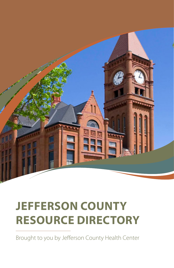

## **JEFFERSON COUNTY RESOURCE DIRECTORY**

Brought to you by Jefferson County Health Center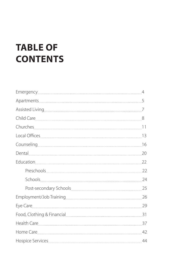### **TABLE OF CONTENTS**

|                | 20 |
|----------------|----|
|                | 22 |
|                |    |
|                |    |
|                |    |
|                |    |
| Eye Care 29    |    |
|                |    |
| Health Care 37 |    |
|                | 42 |
|                | 44 |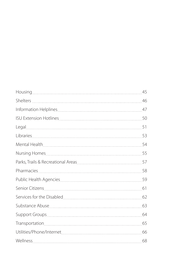|           | 45 |
|-----------|----|
|           | 46 |
|           | 47 |
|           |    |
|           | 51 |
| Libraries | 53 |
|           | 54 |
|           |    |
|           |    |
|           |    |
|           |    |
|           |    |
|           |    |
|           |    |
|           |    |
|           | 65 |
|           | 66 |
|           | 68 |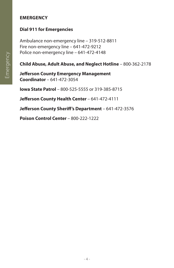#### **EMERGENCY**

#### **Dial 911 for Emergencies**

Ambulance non-emergency line – 319-512-8811 Fire non-emergency line – 641-472-9212 Police non-emergency line – 641-472-4148

#### **Child Abuse, Adult Abuse, and Neglect Hotline** – 800-362-2178

**Jefferson County Emergency Management Coordinator** – 641-472-3054

**Iowa State Patrol** – 800-525-5555 or 319-385-8715

**Jefferson County Health Center** – 641-472-4111

**Jefferson County Sheriff's Department** – 641-472-3576

**Poison Control Center** – 800-222-1222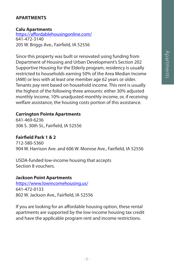#### **APARTMENTS**

#### **Calu Apartments**

https://affordablehousingonline.com/ 641-472-3140 205 W. Briggs Ave., Fairfield, IA 52556

Since this property was built or renovated using funding from Department of Housing and Urban Development's Section 202 Supportive Housing for the Elderly program, residency is usually restricted to households earning 50% of the Area Median Income (AMI) or less with at least one member age 62 years or older. Tenants pay rent based on household income. This rent is usually the highest of the following three amounts: either 30% adjusted monthly income, 10% unadjusted monthly income, or, if receiving welfare assistance, the housing costs portion of this assistance.

#### **Carrington Pointe Apartments**

641-469-6236 306 S. 30th St., Fairfield, IA 52556

#### **Fairfield Park 1 & 2**

712-580-5360 904 W. Harrison Ave. and 606 W. Monroe Ave., Fairfield, IA 52556

USDA-funded low-income housing that accepts Section 8 vouchers.

#### **Jackson Point Apartments**

https://www.lowincomehousing.us/ 641-472-0133 802 W. Jackson Ave., Fairfield, IA 52556

If you are looking for an affordable housing option, these rental apartments are supported by the low-income housing tax credit and have the applicable program rent and income restrictions.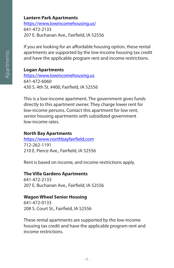#### **Lantern Park Apartments**

https://www.lowincomehousing.us/ 641-472-2133 207 E. Buchanan Ave., Fairfield, IA 52556

If you are looking for an affordable housing option, these rental apartments are supported by the low-income housing tax credit and have the applicable program rent and income restrictions.

#### **Logan Apartments**

https://www.lowincomehousing.us 641-472-6060 430 S. 4th St. #400, Fairfield, IA 52556

This is a low-income apartment. The government gives funds directly to this apartment owner. They charge lower rent for low-income persons. Contact this apartment for low rent, senior housing apartments with subsidized government low-income rates.

#### **North Bay Apartments**

https://www.northbayfairfield.com 712-262-1191 210 E. Pierce Ave., Fairfield, IA 52556

Rent is based on income, and income restrictions apply.

#### **The Villa Gardens Apartments**

641-472-2133 207 E. Buchanan Ave., Fairfield, IA 52556

#### **Wagon Wheel Senior Housing**

641-472-0133 208 S. Court St., Fairfield, IA 52556

These rental apartments are supported by the low-income housing tax credit and have the applicable program rent and income restrictions.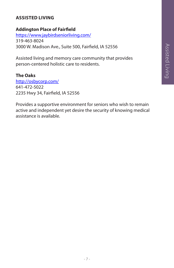#### **ASSISTED LIVING**

#### **Addington Place of Fairfield**

https://www.jaybirdseniorliving.com/ 319-463-8024 3000 W. Madison Ave., Suite 500, Fairfield, IA 52556

Assisted living and memory care community that provides person-centered holistic care to residents.

#### **The Oaks**

http://osbycorp.com/ 641-472-5022 2235 Hwy 34, Fairfield, IA 52556

Provides a supportive environment for seniors who wish to remain active and independent yet desire the security of knowing medical assistance is available.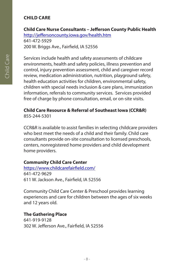#### **CHILD CARE**

#### **Child Care Nurse Consultants – Jefferson County Public Health**

http://jeffersoncounty.iowa.gov/health.htm 641-472-5929 200 W. Briggs Ave., Fairfield, IA 52556

Services include health and safety assessments of childcare environments, health and safety policies, illness prevention and control, injury prevention assessment, child and caregiver record review, medication administration, nutrition, playground safety, health education activities for children, environmental safety, children with special needs inclusion & care plans, immunization information, referrals to community services. Services provided free of charge by phone consultation, email, or on-site visits.

#### **Child Care Resource & Referral of Southeast Iowa (CCR&R)** 855-244-5301

CCR&R is available to assist families in selecting childcare providers who best meet the needs of a child and their family. Child care consultants provide on-site consultation to licensed preschools, centers, nonregistered home providers and child development home providers.

#### **Community Child Care Center**

https://www.childcarefairfield.com/ 641-472-9629 611 W. Jackson Ave., Fairfield, IA 52556

Community Child Care Center & Preschool provides learning experiences and care for children between the ages of six weeks and 12 years old.

#### **The Gathering Place**

641-919-9128 302 W. Jefferson Ave., Fairfield, IA 52556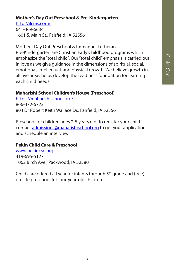#### **Mother's Day Out Preschool & Pre-Kindergarten**

http://ilcms.com/

641-469-6634 1601 S. Main St., Fairfield, IA 52556

Mothers' Day Out Preschool & Immanuel Lutheran Pre-Kindergarten are Christian Early Childhood programs which emphasize the "total child". Our "total child" emphasis is carried out in love as we give guidance in the dimensions of spiritual, social, emotional, intellectual, and physical growth. We believe growth in all five areas helps develop the readiness foundation for learning each child needs.

#### **Maharishi School Children's House (Preschool)**

https://maharishischool.org/ 866-472-6723 804 Dr Robert Keith Wallace Dr., Fairfield, IA 52556

Preschool for children ages 2-5 years old. To register your child contact admissions@maharishischool.org to get your application and schedule an interview.

#### **Pekin Child Care & Preschool**

www.pekincsd.org 319-695-5127 1062 Birch Ave., Packwood, IA 52580

Child care offered all year for infants through 5th grade and (free) on-site preschool for four-year-old children.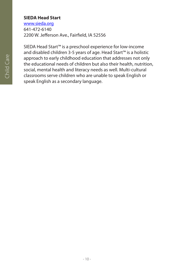#### **SIEDA Head Start**

www.sieda.org 641-472-6140 2200 W. Jefferson Ave., Fairfield, IA 52556

SIEDA Head Start™ is a preschool experience for low-income and disabled children 3-5 years of age. Head Start™ is a holistic approach to early childhood education that addresses not only the educational needs of children but also their health, nutrition, social, mental health and literacy needs as well. Multi-cultural classrooms serve children who are unable to speak English or speak English as a secondary language.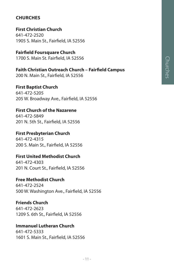## **Churches** Churches

#### **CHURCHES**

**First Christian Church** 641-472-2520 1905 S. Main St., Fairfield, IA 52556

**Fairfield Foursquare Church**

1700 S. Main St. Fairfield, IA 52556

**Faith Christian Outreach Church – Fairfield Campus**

200 N. Main St., Fairfield, IA 52556

**First Baptist Church** 641-472-5205 205 W. Broadway Ave., Fairfield, IA 52556

#### **First Church of the Nazarene**

641-472-5849 201 N. 5th St., Fairfield, IA 52556

#### **First Presbyterian Church**

641-472-4315 200 S. Main St., Fairfield, IA 52556

#### **First United Methodist Church**

641-472-4303 201 N. Court St., Fairfield, IA 52556

#### **Free Methodist Church**

641-472-2524 500 W. Washington Ave., Fairfield, IA 52556

#### **Friends Church**

641-472-2623 1209 S. 6th St., Fairfield, IA 52556

#### **Immanuel Lutheran Church**

641-472-5333 1601 S. Main St., Fairfield, IA 52556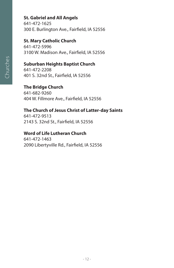#### **St. Gabriel and All Angels**

641-472-1625 300 E. Burlington Ave., Fairfield, IA 52556

#### **St. Mary Catholic Church**

641-472-5996 3100 W. Madison Ave., Fairfield, IA 52556

#### **Suburban Heights Baptist Church**

641-472-2208 401 S. 32nd St., Fairfield, IA 52556

#### **The Bridge Church**

641-682-9260 404 W. Fillmore Ave., Fairfield, IA 52556

#### **The Church of Jesus Christ of Latter-day Saints**

641-472-9513 2143 S. 32nd St., Fairfield, IA 52556

#### **Word of Life Lutheran Church**

641-472-1463 2090 Libertyville Rd., Fairfield, IA 52556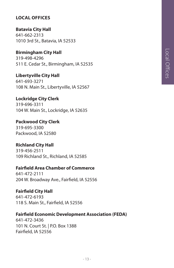#### **LOCAL OFFICES**

**Batavia City Hall** 641-662-2313 1010 3rd St., Batavia, IA 52533

**Birmingham City Hall** 319-498-4296 511 E. Cedar St., Birmingham, IA 52535

**Libertyville City Hall** 641-693-3271 108 N. Main St., Libertyville, IA 52567

**Lockridge City Clerk** 319-696-3311 104 W. Main St., Lockridge, IA 52635

**Packwood City Clerk**  319-695-3300 Packwood, IA 52580

**Richland City Hall** 319-456-2511 109 Richland St., Richland, IA 52585

**Fairfield Area Chamber of Commerce** 641-472-2111

204 W. Broadway Ave., Fairfield, IA 52556

**Fairfield City Hall** 641-472-6193 118 S. Main St., Fairfield, IA 52556

**Fairfield Economic Development Association (FEDA)**

641-472-3436 101 N. Court St. | P.O. Box 1388 Fairfield, IA 52556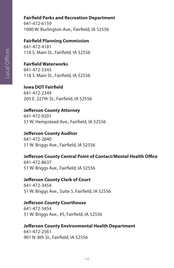#### **Fairfield Parks and Recreation Department**

641-472-6159 1000 W. Burlington Ave., Fairfield, IA 52556

#### **Fairfield Planning Commission**

641-472-4181 118 S. Main St., Fairfield, IA 52556

#### **Fairfield Waterworks**

641-472-5343 118 S. Main St., Fairfield, IA 52556

#### **Iowa DOT Fairfield**

641-472-2349 205 E. 227th St., Fairfield, IA 52556

#### **Jefferson County Attorney**

641-472-9201 51 W. Hempstead Ave., Fairfield, IA 52556

#### **Jefferson County Auditor**

641-472-2840 51 W. Briggs Ave., Fairfield, IA 52556

#### **Jefferson County Central Point of Contact/Mental Health Office**

641-472-8637 51 W. Briggs Ave., Fairfield, IA 52556

#### **Jefferson County Clerk of Court**

641-472-3454 51 W. Briggs Ave., Suite 5, Fairfield, IA 52556

#### **Jefferson County Courthouse**

641-472-3454 51 W. Briggs Ave., #5, Fairfield, IA 52556

#### **Jefferson County Environmental Health Department** 641-472-2561 901 N. 8th St., Fairfield, IA 52556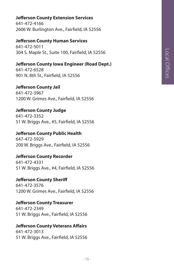# Local Offices Local Offices

#### **Jefferson County Extension Services**

641-472-4166 2606 W. Burlington Ave., Fairfield, IA 52556

#### **Jefferson County Human Services**

641-472-5011 304 S. Maple St., Suite 100, Fairfield, IA 52556

#### **Jefferson County Iowa Engineer (Road Dept.)**

641-472-6528 901 N. 8th St., Fairfield, IA 52556

#### **Jefferson County Jail**

641-472-3967 1200 W. Grimes Ave., Fairfield, IA 52556

#### **Jefferson County Judge**

641-472-3352 51 W. Briggs Ave., #5, Fairfield, IA 52556

#### **Jefferson County Public Health**

647-472-5929 200 W. Briggs Ave., Fairfield, IA 52556

#### **Jefferson County Recorder**

641-472-4331 51 W. Briggs Ave., #4, Fairfield, IA 52556

#### **Jefferson County Sheriff**

641-472-3576 1200 W. Grimes Ave., Fairfield, IA 52556

#### **Jefferson County Treasurer**

641-472-2349 51 W. Briggs Ave., Fairfield, IA 52556

#### **Jefferson County Veterans Affairs**

641-472-3013 51 W. Briggs Ave., Fairfield, IA 52556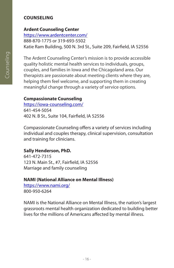#### **COUNSELING**

#### **Ardent Counseling Center**

https://www.ardentcenter.com/ 888-870-1775 or 319-693-5502 Katie Ram Building, 500 N. 3rd St., Suite 209, Fairfield, IA 52556

The Ardent Counseling Center's mission is to provide accessible quality holistic mental health services to individuals, groups, couples, and families in Iowa and the Chicagoland area. Our therapists are passionate about meeting clients where they are, helping them feel welcome, and supporting them in creating meaningful change through a variety of service options.

#### **Compassionate Counseling**

https://iowa-counseling.com/ 641-454-5054 402 N. B St., Suite 104, Fairfield, IA 52556

Compassionate Counseling offers a variety of services including individual and couples therapy, clinical supervision, consultation and training for clinicians.

#### **Sally Henderson, PhD.**

641-472-7315 123 N. Main St., #7, Fairfield, IA 52556 Marriage and family counseling

#### **NAMI (National Alliance on Mental Illness)**

https://www.nami.org/ 800-950-6264

NAMI is the National Alliance on Mental Illness, the nation's largest grassroots mental health organization dedicated to building better lives for the millions of Americans affected by mental illness.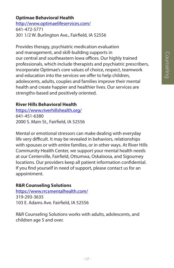#### **Optimae Behavioral Health**

http://www.optimaelifeservices.com/ 641-472-5771 301 1/2 W. Burlington Ave., Fairfield, IA 52556

Provides therapy, psychiatric medication evaluation and management, and skill-building supports in our central and southeastern Iowa offices. Our highly trained professionals, which include therapists and psychiatric prescribers, incorporate Optimae's core values of choice, respect, teamwork and education into the services we offer to help children, adolescents, adults, couples and families improve their mental health and create happier and healthier lives. Our services are strengths-based and positively oriented.

#### **River Hills Behavioral Health**

https://www.riverhillshealth.org/ 641-451-6380 2000 S. Main St., Fairfield, IA 52556

Mental or emotional stressors can make dealing with everyday life very difficult. It may be revealed in behaviors, relationships with spouses or with entire families, or in other ways. At River Hills Community Health Center, we support your mental health needs at our Centerville, Fairfield, Ottumwa, Oskaloosa, and Sigourney locations. Our providers keep all patient information confidential. If you find yourself in need of support, please contact us for an appointment.

#### **R&R Counseling Solutions**

https://www.rrcsmentalhealth.com/ 319-293-3635 103 E. Adams Ave. Fairfield, IA 52556

R&R Counseling Solutions works with adults, adolescents, and children age 5 and over.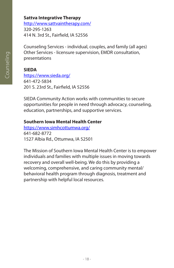#### **Sattva Integrative Therapy**

http://www.sattvaintherapy.com/ 320-295-1263 414 N. 3rd St., Fairfield, IA 52556

Counseling Services - individual, couples, and family (all ages) Other Services - licensure supervision, EMDR consultation, presentations

#### **SIEDA**

https://www.sieda.org/ 641-472-5834 201 S. 23rd St., Fairfield, IA 52556

SIEDA Community Action works with communities to secure opportunities for people in need through advocacy, counseling, education, partnerships, and supportive services.

#### **Southern Iowa Mental Health Center**

https://www.simhcottumwa.org/ 641-682-8772 1527 Albia Rd., Ottumwa, IA 52501

The Mission of Southern Iowa Mental Health Center is to empower individuals and families with multiple issues in moving towards recovery and overall well-being. We do this by providing a welcoming, comprehensive, and caring community mental/ behavioral health program through diagnosis, treatment and partnership with helpful local resources.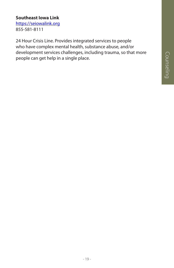# Counseling

#### **Southeast Iowa Link**

https://seiowalink.org 855-581-8111

24 Hour Crisis Line. Provides integrated services to people who have complex mental health, substance abuse, and/or development services challenges, including trauma, so that more people can get help in a single place.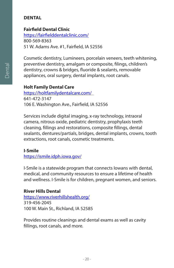#### **DENTAL**

#### **Fairfield Dental Clinic**

https://fairfielddentalclinic.com/ 800-569-8363 51 W. Adams Ave. #1, Fairfield, IA 52556

Cosmetic dentistry, Lumineers, porcelain veneers, teeth whitening, preventive dentistry, amalgam or composite, filings, children's dentistry, crowns & bridges, fluoride & sealants, removable appliances, oral surgery, dental implants, root canals.

#### **Holt Family Dental Care**

https://holtfamilydentalcare.com/ 641-472-3147 106 E. Washington Ave., Fairfield, IA 52556

Services include digital imaging, x-ray technology, intraoral camera, nitrous oxide, pediatric dentistry, prophylaxis teeth cleaning, fillings and restorations, composite fillings, dental sealants, dentures/partials, bridges, dental implants, crowns, tooth extractions, root canals, cosmetic treatments.

#### **I-Smile**

https://ismile.idph.iowa.gov/

I-Smile is a statewide program that connects Iowans with dental, medical, and community resources to ensure a lifetime of health and wellness. I-Smile is for children, pregnant women, and seniors.

#### **River Hills Dental**

https://www.riverhillshealth.org/ 319-456-2045 100 W. Main St., Richland, IA 52585

Provides routine cleanings and dental exams as well as cavity fillings, root canals, and more.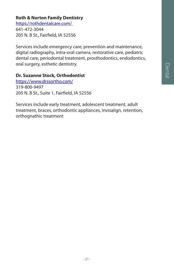# Dental

#### **Roth & Norton Family Dentistry**

https://rothdentalcare.com/ 641-472-3044 205 N. B St., Fairfield, IA 52556

Services include emergency care, prevention and maintenance, digital radiography, intra-oral camera, restorative care, pediatric dental care, periodontal treatment, prosthodontics, endodontics, oral surgery, esthetic dentistry.

#### **Dr. Suzanne Stock, Orthodontist**

https://www.drssortho.com/ 319-800-9497 205 N. B St., Suite 1, Fairfield, IA 52556

Services include early treatment, adolescent treatment, adult treatment, braces, orthodontic appliances, Invisalign, retention, orthognathic treatment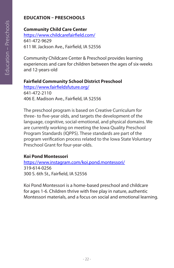#### **EDUCATION – PRESCHOOLS**

#### **Community Child Care Center**

https://www.childcarefairfield.com/ 641-472-9629 611 W. Jackson Ave., Fairfield, IA 52556

Community Childcare Center & Preschool provides learning experiences and care for children between the ages of six-weeks and 12-years-old

#### **Fairfield Community School District Preschool**

https://www.fairfieldsfuture.org/ 641-472-2110 406 E. Madison Ave., Fairfield, IA 52556

The preschool program is based on Creative Curriculum for three- to five-year olds, and targets the development of the language, cognitive, social-emotional, and physical domains. We are currently working on meeting the Iowa Quality Preschool Program Standards (IQPPS). These standards are part of the program verification process related to the Iowa State Voluntary Preschool Grant for four-year-olds.

#### **Koi Pond Montessori**

https://www.instagram.com/koi.pond.montessori/ 319-614-0256 300 S. 6th St., Fairfield, IA 52556

Koi Pond Montessori is a home-based preschool and childcare for ages 1-6. Children thrive with free play in nature, authentic Montessori materials, and a focus on social and emotional learning.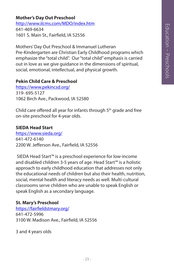#### **Mother's Day Out Preschool**

http://www.ilcms.com/MDO/index.htm 641-469-6634 1601 S. Main St., Fairfield, IA 52556

Mothers' Day Out Preschool & Immanuel Lutheran Pre-Kindergarten are Christian Early Childhood programs which emphasize the "total child". Our "total child" emphasis is carried out in love as we give guidance in the dimensions of spiritual, social, emotional, intellectual, and physical growth.

#### **Pekin Child Care & Preschool**

https://www.pekincsd.org/ 319- 695-5127 1062 Birch Ave., Packwood, IA 52580

Child care offered all year for infants through 5th grade and free on-site preschool for 4-year olds.

#### **SIEDA Head Start**

https://www.sieda.org/ 641-472-6140 2200 W. Jefferson Ave., Fairfield, IA 52556

 SIEDA Head Start™ is a preschool experience for low-income and disabled children 3-5 years of age. Head Start™ is a holistic approach to early childhood education that addresses not only the educational needs of children but also their health, nutrition, social, mental health and literacy needs as well. Multi-cultural classrooms serve children who are unable to speak English or speak English as a secondary language.

#### **St. Mary's Preschool**

https://fairfieldstmary.org/ 641-472-5996 3100 W. Madison Ave., Fairfield, IA 52556

3 and 4 years olds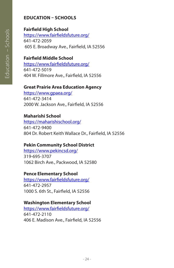#### **EDUCATION – SCHOOLS**

#### **Fairfield High School**

https://www.fairfieldsfuture.org/ 641-472-2059 605 E. Broadway Ave., Fairfield, IA 52556

#### **Fairfield Middle School**

https://www.fairfieldsfuture.org/ 641-472-5019 404 W. Fillmore Ave., Fairfield, IA 52556

#### **Great Prairie Area Education Agency**

https://www.gpaea.org/ 641-472-3414 2000 W. Jackson Ave., Fairfield, IA 52556

#### **Maharishi School**

https://maharishischool.org/ 641-472-9400 804 Dr. Robert Keith Wallace Dr., Fairfield, IA 52556

#### **Pekin Community School District**

https://www.pekincsd.org/ 319-695-3707 1062 Birch Ave., Packwood, IA 52580

#### **Pence Elementary School**

https://www.fairfieldsfuture.org/ 641-472-2957 1000 S. 6th St., Fairfield, IA 52556

#### **Washington Elementary School**

https://www.fairfieldsfuture.org/ 641-472-2110 406 E. Madison Ave., Fairfield, IA 52556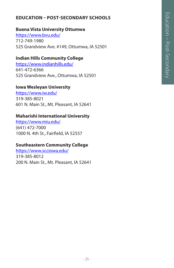#### **EDUCATION – POST-SECONDARY SCHOOLS**

#### **Buena Vista University Ottumwa**

https://www.bvu.edu/ 712-749-1980 525 Grandview Ave. #149, Ottumwa, IA 52501

#### **Indian Hills Community College**

https://www.indianhills.edu/ 641-472-6366 525 Grandview Ave., Ottumwa, IA 52501

#### **Iowa Wesleyan University**

https://www.iw.edu/ 319-385-8021 601 N. Main St., Mt. Pleasant, IA 52641

#### **Maharishi International University**

https://www.miu.edu/ (641) 472-7000 1000 N. 4th St., Fairfield, IA 52557

#### **Southeastern Community College**

https://www.scciowa.edu/ 319-385-8012 200 N. Main St., Mt. Pleasant, IA 52641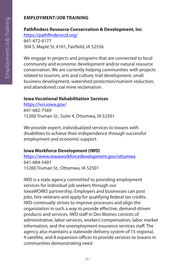#### **EMPLOYMENT/JOB TRAINING**

#### **Pathfinders Resource Conservation & Development, Inc**.

https://pathfindersrcd.org/ 641-472-6177 304 S. Maple St. #101, Fairfield, IA 52556

We engage in projects and programs that are connected to local community and economic development and/or natural resource conservation. We are currently helping communities with projects related to tourism, arts and culture, trail development, small business development, watershed protection/nutrient reduction, and abandoned coal mine reclamation.

#### **Iowa Vocational Rehabilitation Services**

https://ivrs.iowa.gov/ 641-682-7569 15260 Truman St., Suite 4, Ottumwa, IA 52501

We provide expert, individualized services to Iowans with disabilities to achieve their independence through successful employment and economic support.

#### **Iowa Workforce Development (IWD)**

https://www.iowaworkforcedevelopment.gov/ottumwa 641-684-5401 15260 Truman St., Ottumwa, IA 52501

IWD is a state agency committed to providing employment services for individual job seekers through our Iowa*WORKS* partnership. Employers and businesses can post jobs, hire veterans and apply for qualifying federal tax credits. IWD continually strives to improve processes and align the organization in such a way to provide effective, demand-driven products and services. IWD staff in Des Moines consists of administrative, labor services, workers' compensation, labor market information, and the unemployment insurance services staff. The agency also maintains a statewide delivery system of 15 regional, 4 satellite, and 8 expansion offices to provide services to Iowans in communities demonstrating need.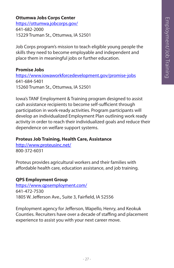#### **Ottumwa Jobs Corps Center**

https://ottumwa.jobcorps.gov/ 641-682-2000 15229 Truman St., Ottumwa, IA 52501

Job Corps program's mission to teach eligible young people the skills they need to become employable and independent and place them in meaningful jobs or further education.

#### **Promise Jobs**

https://www.iowaworkforcedevelopment.gov/promise-jobs 641-684-5401 15260 Truman St., Ottumwa, IA 52501

Iowa's TANF Employment & Training program designed to assist cash assistance recipients to become self-sufficient through participation in work-ready activities. Program participants will develop an individualized Employment Plan outlining work ready activity in order to reach their individualized goals and reduce their dependence on welfare support systems.

#### **Proteus Job Training, Health Care, Assistance**

http://www.proteusinc.net/ 800-372-6031

Proteus provides agricultural workers and their families with affordable health care, education assistance, and job training.

#### **QPS Employment Group**

https://www.qpsemployment.com/ 641-472-7530 1805 W. Jefferson Ave., Suite 3, Fairfield, IA 52556

Employment agency for Jefferson, Wapello, Henry, and Keokuk Counties. Recruiters have over a decade of staffing and placement experience to assist you with your next career move.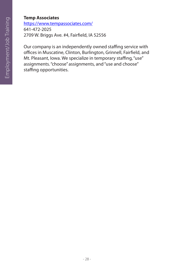#### **Temp Associates**

https://www.tempassociates.com/ 641-472-2025 2709 W. Briggs Ave. #4, Fairfield, IA 52556

Our company is an independently owned staffing service with offices in Muscatine, Clinton, Burlington, Grinnell, Fairfield, and Mt. Pleasant, Iowa. We specialize in temporary staffing, "use" assignments. "choose" assignments, and "use and choose" staffing opportunities.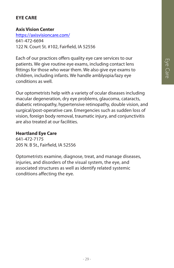#### **EYE CARE**

#### **Axis Vision Center**

https://axisvisioncare.com/ 641-472-6694 122 N. Court St. #102, Fairfield, IA 52556

Each of our practices offers quality eye care services to our patients. We give routine eye exams, including contact lens fittings for those who wear them. We also give eye exams to children, including infants. We handle amblyopia/lazy eye conditions as well.

Our optometrists help with a variety of ocular diseases including macular degeneration, dry eye problems, glaucoma, cataracts, diabetic retinopathy, hypertensive retinopathy, double vision, and surgical/post-operative care. Emergencies such as sudden loss of vision, foreign body removal, traumatic injury, and conjunctivitis are also treated at our facilities.

#### **Heartland Eye Care**

641-472-7175 205 N. B St., Fairfield, IA 52556

Optometrists examine, diagnose, treat, and manage diseases, injuries, and disorders of the visual system, the eye, and associated structures as well as identify related systemic conditions affecting the eye.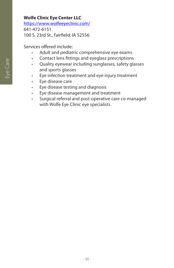#### **Wolfe Clinic Eye Center LLC**

https://www.wolfeeyeclinic.com/

641-472-6151 100 S. 23rd St., Fairfield, IA 52556

Services offered include:

- Adult and pediatric comprehensive eye exams
- Contact lens fittings and eyeglass prescriptions
- Quality eyewear including sunglasses, safety glasses and sports glasses
- Eye infection treatment and eye injury treatment
- Eye disease care
- Eye disease testing and diagnosis
- Eye disease management and treatment
- Surgical referral and post-operative care co-managed with Wolfe Eye Clinic eye specialists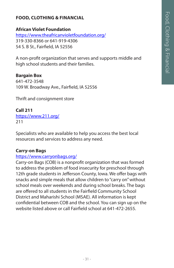#### **FOOD, CLOTHING & FINANCIAL**

#### **African Violet Foundation**

https://www.theafricanvioletfoundation.org/ 319-330-8366 or 641-919-4306 54 S. B St., Fairfield, IA 52556

A non-profit organization that serves and supports middle and high school students and their families.

#### **Bargain Box**

641-472-3548 109 W. Broadway Ave., Fairfield, IA 52556

Thrift and consignment store

#### **Call 211**

https://www.211.org/ 211

Specialists who are available to help you access the best local resources and services to address any need.

#### **Carry-on Bags**

#### https://www.carryonbags.org/

Carry-on Bags (COB) is a nonprofit organization that was formed to address the problem of food insecurity for preschool through 12th grade students in Jefferson County, Iowa. We offer bags with snacks and simple meals that allow children to "carry on" without school meals over weekends and during school breaks. The bags are offered to all students in the Fairfield Community School District and Maharishi School (MSAE). All information is kept confidential between COB and the school. You can sign up on the website listed above or call Fairfield school at 641-472-2655.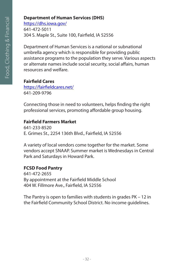#### **Department of Human Services (DHS)**

https://dhs.iowa.gov/

641-472-5011 304 S. Maple St., Suite 100, Fairfield, IA 52556

Department of Human Services is a national or subnational umbrella agency which is responsible for providing public assistance programs to the population they serve. Various aspects or alternate names include social security, social affairs, human resources and welfare.

**Fairfield Cares**

https://fairfieldcares.net/ 641-209-9796

Connecting those in need to volunteers, helps finding the right professional services, promoting affordable group housing.

#### **Fairfield Farmers Market**

641-233-8520 E. Grimes St., 2254 136th Blvd., Fairfield, IA 52556

A variety of local vendors come together for the market. Some vendors accept SNAAP. Summer market is Wednesdays in Central Park and Saturdays in Howard Park.

#### **FCSD Food Pantry**

641-472-2655 By appointment at the Fairfield Middle School 404 W. Fillmore Ave., Fairfield, IA 52556

The Pantry is open to families with students in grades PK – 12 in the Fairfield Community School District. No income guidelines.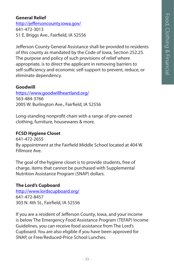#### **General Relief**

http://jeffersoncounty.iowa.gov/ 641-472-3013 51 E. Briggs Ave., Fairfield, IA 52556

Jefferson County General Assistance shall be provided to residents of this county as mandated by the Code of Iowa, Section 252.25. The purpose and policy of such provisions of relief where appropriate, is to direct the applicant in removing barriers to self-sufficiency and economic self-support to prevent, reduce, or eliminate dependency.

#### **Goodwill**

https://www.goodwillheartland.org/ 563-484-3766 2005 W. Burlington Ave., Fairfield, IA 52556

Long-standing nonprofit chain with a range of pre-owned clothing, furniture, housewares & more.

#### **FCSD Hygiene Closet**

641-472-2655 By appointment at the Fairfield Middle School located at 404 W. Fillmore Ave.

The goal of the hygiene closet is to provide students, free of charge, items that cannot be purchased with Supplemental Nutrition Assistance Program (SNAP) dollars.

#### **The Lord's Cupboard**

http://www.lordscupboard.org/ 641-472-8457 303 N. 4th St., Fairfield, IA 52556

If you are a resident of Jefferson County, Iowa, and your income is below The Emergency Food Assistance Program (TEFAP) Income Guidelines, you can receive food assistance from The Lord's Cupboard. You are also eligible if you have been approved for SNAP, or Free/Reduced-Price School Lunches.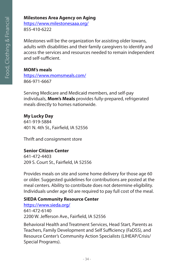#### **Milestones Area Agency on Aging**

https://www.milestonesaaa.org/ 855-410-6222

Milestones will be the organization for assisting older Iowans, adults with disabilities and their family caregivers to identify and access the services and resources needed to remain independent and self-sufficient.

#### **MOM's meals**

https://www.momsmeals.com/ 866-971-6667

Serving Medicare and Medicaid members, and self-pay individuals, **Mom's Meals** provides fully-prepared, refrigerated meals directly to homes nationwide.

#### **My Lucky Day**

641-919-5884 401 N. 4th St., Fairfield, IA 52556

Thrift and consignment store

#### **Senior Citizen Center**

641-472-4403 209 S. Court St., Fairfield, IA 52556

Provides meals on site and some home delivery for those age 60 or older. Suggested guidelines for contributions are posted at the meal centers. Ability to contribute does not determine eligibility. Individuals under age 60 are required to pay full cost of the meal.

#### **SIEDA Community Resource Center**

https://www.sieda.org/ 641-472-6140 2200 W. Jefferson Ave., Fairfield, IA 52556

Behavioral Health and Treatment Services, Head Start, Parents as Teachers, Family Development and Self Sufficiency (FaDSS), and Resource Center's Community Action Specialists (LIHEAP/Crisis/ Special Programs).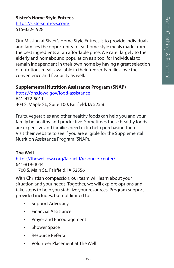#### **Sister's Home Style Entrees**

https://sistersentrees.com/ 515-332-1928

Our Mission at Sister's Home Style Entrees is to provide individuals and families the opportunity to eat home style meals made from the best ingredients at an affordable price. We cater largely to the elderly and homebound population as a tool for individuals to remain independent in their own home by having a great selection of nutritious meals available in their freezer. Families love the convenience and flexibility as well.

#### **Supplemental Nutrition Assistance Program (SNAP)**

https://dhs.iowa.gov/food-assistance 641-472-5011 304 S. Maple St., Suite 100, Fairfield, IA 52556

Fruits, vegetables and other healthy foods can help you and your family be healthy and productive. Sometimes these healthy foods are expensive and families need extra help purchasing them. Visit their website to see if you are eligible for the Supplemental Nutrition Assistance Program (SNAP).

#### **The Well**

https://thewelliowa.org/fairfield/resource-center/ 641-819-4044 1700 S. Main St., Fairfield, IA 52556

With Christian compassion, our team will learn about your situation and your needs. Together, we will explore options and take steps to help you stabilize your resources. Program support provided includes, but not limited to:

- Support Advocacy
- Financial Assistance
- Prayer and Encouragement
- Shower Space
- Resource Referral
- Volunteer Placement at The Well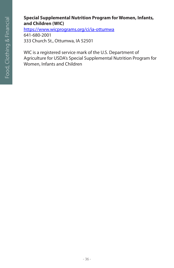#### **Special Supplemental Nutrition Program for Women, Infants, and Children (WIC)**

https://www.wicprograms.org/ci/ia-ottumwa

641-680-2001 333 Church St., Ottumwa, IA 52501

WIC is a registered service mark of the U.S. Department of Agriculture for USDA's Special Supplemental Nutrition Program for Women, Infants and Children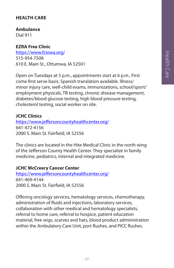# **HEALTH CARE**

**Ambulance**

Dial 911

# **EZRA Free Clinic**

https://www.fciowa.org/ 515-954-7508 610 E. Main St., Ottumwa, IA 52501

Open on Tuesdays at 5 p.m., appointments start at 6 p.m.. First come first serve basis. Spanish translation available. Illness/ minor injury care, well-child exams, immunizations, school/sport/ employment physicals, TB testing, chronic disease management, diabetes/blood glucose testing, high blood pressure testing, cholesterol testing, social worker on site.

## **JCHC Clinics**

https://www.jeffersoncountyhealthcenter.org/ 641-472-4156 2000 S. Main St. Fairfield, IA 52556

The clinics are located in the Hite Medical Clinic in the north wing of the Jefferson County Health Center. They specialize in family medicine, pediatrics, internal and integrated medicine.

#### **JCHC McCreery Cancer Center**

https://www.jeffersoncountyhealthcenter.org/ 641-469-4144 2000 S. Main St. Fairfield, IA 52556

Offering oncology services, hematology services, chemotherapy, administration of fluids and injections, laboratory services, collaboration with other medical and hematology specialists, referral to home care, referral to hospice, patient education material, free wigs, scarves and hats, blood product administration within the Ambulatory Care Unit, port flushes, and PICC flushes.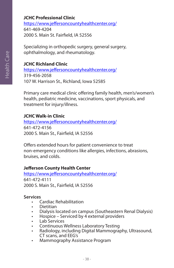# **JCHC Professional Clinic**

https://www.jeffersoncountyhealthcenter.org/ 641-469-4204 2000 S. Main St. Fairfield, IA 52556

Specializing in orthopedic surgery, general surgery, ophthalmology, and rheumatology.

# **JCHC Richland Clinic**

https://www.jeffersoncountyhealthcenter.org/ 319-456-2058 107 W. Harrison St., Richland, Iowa 52585

Primary care medical clinic offering family health, men's/women's health, pediatric medicine, vaccinations, sport physicals, and treatment for injury/illness.

#### **JCHC Walk-in Clinic**

https://www.jeffersoncountyhealthcenter.org/ 641-472-4156 2000 S. Main St., Fairfield, IA 52556

Offers extended hours for patient convenience to treat non-emergency conditions like allergies, infections, abrasions, bruises, and colds.

#### **Jefferson County Health Center**

https://www.jeffersoncountyhealthcenter.org/ 641-472-4111 2000 S. Main St., Fairfield, IA 52556

#### **Services**

- Cardiac Rehabilitation
- Dietitian
- Dialysis located on campus (Southeastern Renal Dialysis)
- Hospice Serviced by 4 external providers
- Lab Services
- Continuous Wellness Laboratory Testing
- Radiology, including Digital Mammography, Ultrasound, CT scans, and EEG's
- Mammography Assistance Program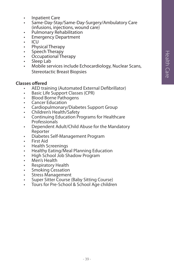- Inpatient Care
- Same-Day-Stay/Same-Day-Surgery/Ambulatory Care (infusions, injections, wound care)
- Pulmonary Rehabilitation
- **Emergency Department**
- $\cdot$  ICU
- Physical Therapy
- Speech Therapy
- Occupational Therapy
- Sleep Lab
- Mobile services include Echocardiology, Nuclear Scans, Stereotactic Breast Biopsies

#### **Classes offered**

- 
- 
- 
- 
- 
- 
- AED training (Automated External Defibrillator)<br>• Basic Life Support Classes (CPR)<br>• Blood Borne Pathogens<br>• Cancer Education<br>• Cardiopulmonary/Diabetes Support Group<br>• Children's Health/Safety<br>• Continuing Education Pro
- Dependent Adult/Child Abuse for the Mandatory Reporter<br>Diabetes Self-Management Program
- 
- First Aid
- Health Screenings
- Healthy Eating/Meal Planning Education<br>• High School Job Shadow Program
- 
- Men's Health
- Respiratory Health
- Smoking Cessation
- Stress Management
- Super Sitter Course (Baby Sitting Course)
- Tours for Pre-School & School Age children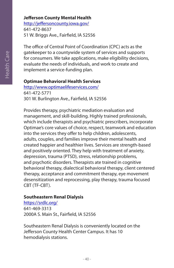# **Jefferson County Mental Health**

http://jeffersoncounty.iowa.gov/ 641-472-8637 51 W. Briggs Ave., Fairfield, IA 52556

The office of Central Point of Coordination (CPC) acts as the gatekeeper to a countywide system of services and supports for consumers. We take applications, make eligibility decisions, evaluate the needs of individuals, and work to create and implement a service-funding plan.

#### **Optimae Behavioral Health Services**

http://www.optimaelifeservices.com/ 641-472-5771 301 W. Burlington Ave., Fairfield, IA 52556

Provides therapy, psychiatric mediation evaluation and management, and skill-building. Highly trained professionals, which include therapists and psychiatric prescribers, incorporate Optimae's core values of choice, respect, teamwork and education into the services they offer to help children, adolescents, adults, couples, and families improve their mental health and created happier and healthier lives. Services are strength-based and positively oriented. They help with treatment of anxiety, depression, trauma (PTSD), stress, relationship problems, and psychotic disorders. Therapists ate trained in cognitive behavioral therapy, dialectical behavioral therapy, client centered therapy, acceptance and commitment therapy, eye movement desensitization and reprocessing, play therapy, trauma focused CBT (TF-CBT).

#### **Southeastern Renal Dialysis**

https://srdlc.org/ 641-469-3313 2000A S. Main St., Fairfield, IA 52556

Southeastern Renal Dialysis is conveniently located on the Jefferson County Health Center Campus. It has 10 hemodialysis stations.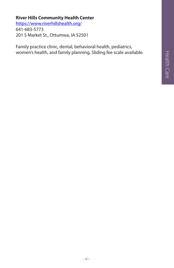# Health Care Health Care

# **River Hills Community Health Center**

https://www.riverhillshealth.org/ 641-683-5773 201 S Market St., Ottumwa, IA 52501

Family practice clinic, dental, behavioral health, pediatrics, women's health, and family planning. Sliding fee scale available.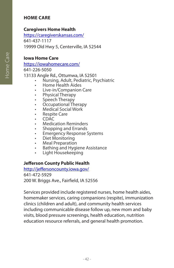# **HOME CARE**

# **Caregivers Home Health**

https://caregiverskansas.com/ 641-437-1117 19999 Old Hwy 5, Centerville, IA 52544

#### **Iowa Home Care**

https://iowahomecare.com/

641-226-5050

13133 Angle Rd., Ottumwa, IA 52501

- Nursing, Adult, Pediatric, Psychiatric
- Home Health Aides
- Live-in/Companion Care
- Physical Therapy
- Speech Therapy
- Occupational Therapy<br>• Medical Social Work
- 
- 
- 
- 
- 
- 
- 
- 
- Medical Social Work<br>• Respite Care<br>• CDAC<br>• Medication Reminders<br>• Shopping and Errands<br>• Emergency Response Systems<br>• Diet Monitoring<br>• Meal Preparation<br>• Bathing and Hygiene Assistance<br>• Light Housekeeping
- 

# **Jefferson County Public Health**

http://jeffersoncounty.iowa.gov/ 641-472-5929 200 W. Briggs Ave., Fairfield, IA 52556

Services provided include registered nurses, home health aides, homemaker services, caring companions (respite), immunization clinics (children and adult), and community health services including communicable disease follow up, new mom and baby visits, blood pressure screenings, health education, nutrition education resource referrals, and general health promotion.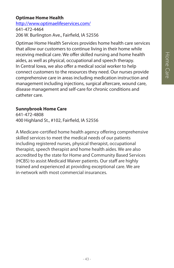# **Optimae Home Health**

http://www.optimaelifeservices.com/ 641-472-4464 206 W. Burlington Ave., Fairfield, IA 52556

Optimae Home Health Services provides home health care services that allow our customers to continue living in their home while receiving medical care. We offer skilled nursing and home health aides, as well as physical, occupational and speech therapy. In Central Iowa, we also offer a medical social worker to help connect customers to the resources they need. Our nurses provide comprehensive care in areas including medication instruction and management including injections, surgical aftercare, wound care, disease management and self-care for chronic conditions and catheter care.

#### **Sunnybrook Home Care**

641-472-4808 400 Highland St., #102, Fairfield, IA 52556

A Medicare-certified home health agency offering comprehensive skilled services to meet the medical needs of our patients including registered nurses, physical therapist, occupational therapist, speech therapist and home health aides. We are also accredited by the state for Home and Community Based Services (HCBS) to assist Medicaid Waiver patients. Our staff are highly trained and experienced at providing exceptional care. We are in-network with most commercial insurances.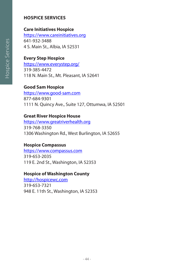# **HOSPICE SERVICES**

## **Care Initiatives Hospice**

https://www.careinitiatives.org 641-932-3488 4 S. Main St., Albia, IA 52531

# **Every Step Hospice**

https://www.everystep.org/ 319-385-4472 118 N. Main St., Mt. Pleasant, IA 52641

#### **Good Sam Hospice**

https://www.good-sam.com 877-684-9301 1111 N. Quincy Ave., Suite 127, Ottumwa, IA 52501

#### **Great River Hospice House**

https://www.greatriverhealth.org 319-768-3350 1306 Washington Rd., West Burlington, IA 52655

#### **Hospice Compassus**

https://www.compassus.com 319-653-2035 119 E. 2nd St., Washington, IA 52353

# **Hospice of Washington County**

http://hospicewc.com 319-653-7321 948 E. 11th St., Washington, IA 52353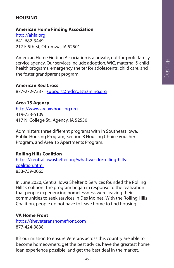# **HOUSING**

#### **American Home Finding Association**

http://ahfa.org 641-682-3449 217 E 5th St, Ottumwa, IA 52501

American Home Finding Association is a private, not-for-profit family service agency. Our services include adoption, WIC, maternal & child health programs, emergency shelter for adolescents, child care, and the foster grandparent program.

#### **American Red Cross**

877-272-7337 | support@redcrosstraining.org

#### **Area 15 Agency**

http://www.areaxvhousing.org 319-753-5109 417 N. College St., Agency, IA 52530

Administers three different programs with in Southeast Iowa. Public Housing Program, Section 8 Housing Choice Voucher Program, and Area 15 Apartments Program.

#### **Rolling Hills Coalition**

https://centraliowashelter.org/what-we-do/rolling-hillscoalition.html 833-739-0065

In June 2020, Central Iowa Shelter & Services founded the Rolling Hills Coalition. The program began in response to the realization that people experiencing homelessness were leaving their communities to seek services in Des Moines. With the Rolling Hills Coalition, people do not have to leave home to find housing.

#### **VA Home Front**

https://theveteranshomefront.com 877-424-3838

It's our mission to ensure Veterans across this country are able to become homeowners, get the best advice, have the greatest home loan experience possible, and get the best deal in the market.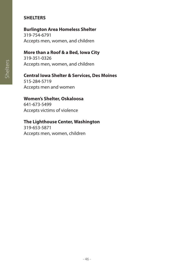# **SHELTERS**

#### **Burlington Area Homeless Shelter**

319-754-6791 Accepts men, women, and children

#### **More than a Roof & a Bed, Iowa City**

319-351-0326 Accepts men, women, and children

#### **Central Iowa Shelter & Services, Des Moines**

515-284-5719 Accepts men and women

#### **Women's Shelter, Oskaloosa**

641-673-5499 Accepts victims of violence

# **The Lighthouse Center, Washington**

319-653-5871 Accepts men, women, children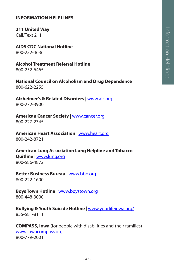#### **INFORMATION HELPLINES**

**211 United Way**

Call/Text 211

**AIDS CDC National Hotline** 800-232-4636

**Alcohol Treatment Referral Hotline** 800-252-6465

**National Council on Alcoholism and Drug Dependence**  800-622-2255

**Alzheimer's & Related Disorders** | www.alz.org 800-272-3900

**American Cancer Society** | www.cancer.org 800-227-2345

**American Heart Association** | www.heart.org 800-242-8721

**American Lung Association Lung Helpline and Tobacco Quitline** | www.lung.org 800-586-4872

**Better Business Bureau** | www.bbb.org 800-222-1600

**Boys Town Hotline** | www.boystown.org 800-448-3000

**Bullying & Youth Suicide Hotline** | www.yourlifeiowa.org/ 855-581-8111

**COMPASS, Iowa** (for people with disabilities and their families) www.iowacompass.org 800-779-2001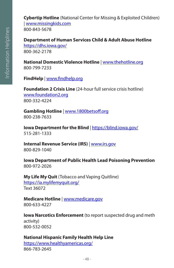**Cybertip Hotline** (National Center for Missing & Exploited Children) | www.missingkids.com 800-843-5678

**Department of Human Services Child & Adult Abuse Hotline**  https://dhs.iowa.gov/ 800-362-2178

**National Domestic Violence Hotline** | www.thehotline.org 800-799-7233

**FindHelp** | www.findhelp.org

**Foundation 2 Crisis Line** (24-hour full service crisis hotline) www.foundation2.org 800-332-4224

**Gambling Hotline** | www.1800betsoff.org 800-238-7633

**Iowa Department for the Blind** | https://blind.iowa.gov/ 515-281-1333

**Internal Revenue Service (IRS)** | www.irs.gov 800-829-1040

**Iowa Department of Public Health Lead Poisoning Prevention** 800-972-2026

**My Life My Quit** (Tobacco and Vaping Quitline) https://ia.mylifemyquit.org/ Text 36072

**Medicare Hotline** | www.medicare.gov 800-633-4227

**Iowa Narcotics Enforcement** (to report suspected drug and meth activity) 800-532-0052

**National Hispanic Family Health Help Line** https://www.healthyamericas.org/ 866-783-2645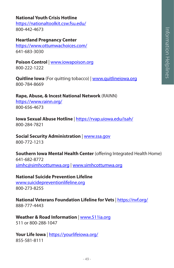# **National Youth Crisis Hotline**

https://nationaltoolkit.csw.fsu.edu/ 800-442-4673

#### **Heartland Pregnancy Center**

https://www.ottumwachoices.com/ 641-683-3030

**Poison Control** | www.iowapoison.org 800-222-1222

**Quitline Iowa** (For quitting tobacco) | www.quitlineiowa.org 800-784-8669

**Rape, Abuse, & Incest National Network** (RAINN) https://www.rainn.org/ 800-656-4673

**Iowa Sexual Abuse Hotline** | https://rvap.uiowa.edu/isah/ 800-284-7821

# **Social Security Administration** | www.ssa.gov

800-772-1213

**Southern Iowa Mental Health Center** (offering Integrated Health Home) 641-682-8772 simhc@simhcottumwa.org | www.simhcottumwa.org

#### **National Suicide Prevention Lifeline**

www.suicidepreventionlifeline.org 800-273-8255

**National Veterans Foundation Lifeline for Vets** | https://nvf.org/ 888-777-4443

# **Weather & Road Information** | www.511ia.org

511 or 800-288-1047

**Your Life Iowa** | https://yourlifeiowa.org/ 855-581-8111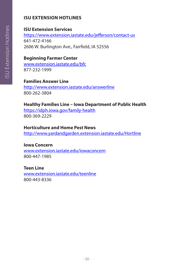# **ISU EXTENSION HOTLINES**

# **ISU Extension Services**

https://www.extension.iastate.edu/jefferson/contact-us 641-472-4166 2606 W. Burlington Ave., Fairfield, IA 52556

# **Beginning Farmer Center**

www.extension.iastate.edu/bfc 877-232-1999

# **Families Answer Line**

http://www.extension.iastate.edu/answerline 800-262-3804

# **Healthy Families Line – Iowa Department of Public Health**

https://idph.iowa.gov/family-health 800-369-2229

#### **Horticulture and Home Pest News**

http://www.yardandgarden.extension.iastate.edu/Hortline

#### **Iowa Concern**

www.extension.iastate.edu/iowaconcern 800-447-1985

# **Teen Line**

www.extension.iastate.edu/teenline 800-443-8336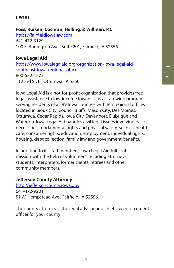# Legal

# **LEGAL**

#### **Foss, Kuiken, Cochran, Helling, & Willman, P.C**.

https://fairfieldiowalaw.com 641-472-3129 100 E. Burlington Ave., Suite 201, Fairfield, IA 52556

#### **Iowa Legal Aid**

https://www.iowalegalaid.org/organization/iowa-legal-aidsoutheast-iowa-regional-office 800-532-1275 112 3rd St. E., Ottumwa, IA 52501

Iowa Legal Aid is a not-for-profit organization that provides free legal assistance to low-income Iowans. It is a statewide program serving residents of all 99 Iowa counties with ten regional offices located in Sioux City, Council Bluffs, Mason City, Des Moines, Ottumwa, Cedar Rapids, Iowa City, Davenport, Dubuque and Waterloo. Iowa Legal Aid handles civil legal issues involving basic necessities, fundamental rights and physical safety, such as: health care, consumer rights, education, employment, individual rights, housing, debt collection, family law and government benefits.

In addition to its staff members, Iowa Legal Aid fulfills its mission with the help of volunteers including attorneys, students, interpreters, former clients, retirees and other community members.

# **Jefferson County Attorney**

http://jeffersoncounty.iowa.gov 641-472-9201 51 W. Hempstead Ave., Fairfield, IA 52556

The county attorney is the legal advisor and chief law enforcement officer for your county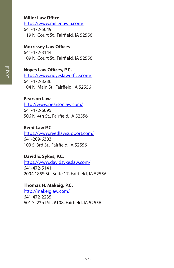#### **Miller Law Office**

https://www.millerlawia.com/ 641-472-5049 119 N. Court St., Fairfield, IA 52556

#### **Morrissey Law Offices**

641-472-3144 109 N. Court St., Fairfield, IA 52556

# **Noyes Law Offices, P.C.**

https://www.noyeslawoffice.com/ 641-472-3236 104 N. Main St., Fairfield, IA 52556

#### **Pearson Law**

http://www.pearsonlaw.com/ 641-472-6095 506 N. 4th St., Fairfield, IA 52556

#### **Reed Law P.C**.

https://www.reedlawsupport.com/ 641-209-6383 103 S. 3rd St., Fairfield, IA 52556

#### **David E. Sykes, P.C.**

https://www.davidsykeslaw.com/ 641-472-5141 2094 185th St., Suite 17, Fairfield, IA 52556

#### **Thomas H. Makeig, P.C.**

http://makeiglaw.com/ 641-472-2235 601 S. 23rd St., #108, Fairfield, IA 52556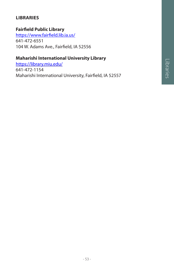# **LIBRARIES**

# **Fairfield Public Library**

https://www.fairfield.lib.ia.us/ 641-472-6551 104 W. Adams Ave., Fairfield, IA 52556

# **Maharishi International University Library**

https://library.miu.edu/ 641-472-1154 Maharishi International University, Fairfield, IA 52557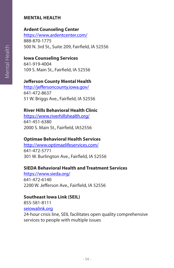#### **MENTAL HEALTH**

# **Ardent Counseling Center**

https://www.ardentcenter.com/ 888-870-1775 500 N. 3rd St., Suite 209, Fairfield, IA 52556

#### **Iowa Counseling Services**

641-919-4004 109 S. Main St., Fairfield, IA 52556

#### **Jefferson County Mental Health**

http://jeffersoncounty.iowa.gov/ 641-472-8637 51 W. Briggs Ave., Fairfield, IA 52556

# **River Hills Behavioral Health Clinic**

https://www.riverhillshealth.org/ 641-451-6380 2000 S. Main St., Fairfield, IA52556

# **Optimae Behavioral Health Services**

http://www.optimaelifeservices.com/ 641-472-5771 301 W. Burlington Ave., Fairfield, IA 52556

#### **SIEDA Behavioral Health and Treatment Services**

https://www.sieda.org/ 641-472-6140 2200 W. Jefferson Ave., Fairfield, IA 52556

#### **Southeast Iowa Link (SEIL)**

855-581-8111 seiowalink.org

24-hour crisis line, SEIL facilitates open quality comprehensive services to people with multiple issues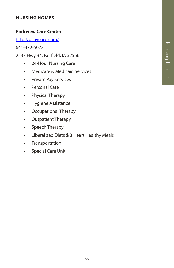#### **NURSING HOMES**

#### **Parkview Care Center**

http://osbycorp.com/

641-472-5022

2237 Hwy 34, Fairfield, IA 52556.

- 24-Hour Nursing Care
- Medicare & Medicaid Services
- Private Pay Services
- Personal Care
- Physical Therapy
- Hygiene Assistance
- Occupational Therapy
- Outpatient Therapy
- Speech Therapy
- Liberalized Diets & 3 Heart Healthy Meals
- Transportation
- Special Care Unit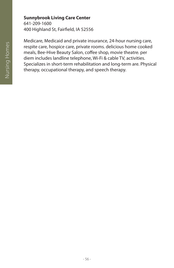#### **Sunnybrook Living Care Center**

641-209-1600 400 Highland St, Fairfield, IA 52556

Medicare, Medicaid and private insurance, 24-hour nursing care, respite care, hospice care, private rooms. delicious home cooked meals, Bee-Hive Beauty Salon, coffee shop, movie theatre. per diem includes landline telephone, Wi-Fi & cable TV, activities. Specializes in short-term rehabilitation and long-term are. Physical therapy, occupational therapy, and speech therapy.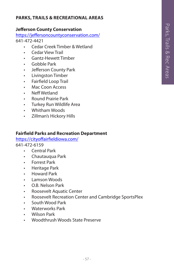# **PARKS, TRAILS & RECREATIONAL AREAS**

#### **Jefferson County Conservation**

https://jeffersoncountyconservation.com/ 641-472-4421

- Cedar Creek Timber & Wetland
- Cedar View Trail
- Gantz-Hewett Timber
- Gobble Park
- Jefferson County Park
- Livingston Timber
- Fairfield Loop Trail
- Mac Coon Access
- Neff Wetland
- Round Prairie Park
- Turkey Run Wildlife Area
- Whitham Woods
- Zillman's Hickory Hills

#### **Fairfield Parks and Recreation Department**

https://cityoffairfieldiowa.com/ 641-472-6159

- Central Park
- Chautauqua Park
- Forrest Park
- Heritage Park
- Howard Park
- Lamson Woods
- O.B. Nelson Park
- Roosevelt Aquatic Center
- Roosevelt Recreation Center and Cambridge SportsPlex
- South Wood Park
- Waterworks Park
- Wilson Park
- Woodthrush Woods State Preserve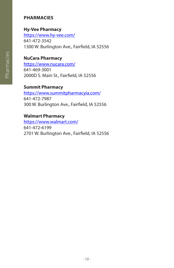# **PHARMACIES**

# **Hy-Vee Pharmacy**

https://www.hy-vee.com/ 641-472-3542 1300 W. Burlington Ave., Fairfield, IA 52556

# **NuCara Pharmacy**

https://www.nucara.com/ 641-469-3001 2000D S. Main St., Fairfield, IA 52556

#### **Summit Pharmacy**

https://www.summitpharmacyia.com/ 641-472-7987 300 W. Burlington Ave., Fairfield, IA 52556

#### **Walmart Pharmacy**

https://www.walmart.com/ 641-472-6199 2701 W. Burlington Ave., Fairfield, IA 52556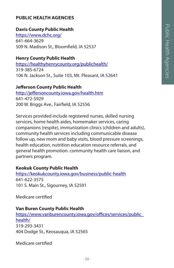# **PUBLIC HEALTH AGENCIES**

#### **Davis County Public Health**

https://www.dchc.org/ 641-664-3629 509 N. Madison St., Bloomfield, IA 52537

#### **Henry County Public Health**

https://healthyhenrycounty.org/publichealth/ 319-385-6724 106 N. Jackson St., Suite 103, Mt. Pleasant, IA 52641

#### **Jefferson County Public Health**

http://jeffersoncounty.iowa.gov/health.htm 641-472-5929 200 W. Briggs Ave., Fairfield, IA 52556

Services provided include registered nurses, skilled nursing services, home health aides, homemaker services, caring companions (respite), immunization clinics (children and adults), community health services including communicable disease follow up, new mom and baby visits, blood pressure screenings, health education, nutrition education resource referrals, and general health promotion. community health care liaison, and partners program.

#### **Keokuk County Public Health**

https://keokukcounty.iowa.gov/business/public-health 641-622-3575 101 S. Main St., Sigourney, IA 52591

Medicare certified

#### **Van Buren County Public Health**

https://www.vanburencounty.iowa.gov/offices/services/public\_ health/ 319-293-3431 404 Dodge St., Keosauqua, IA 52565

Medicare certified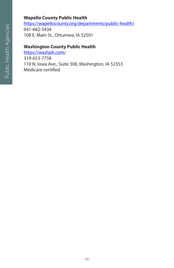# **Wapello County Public Health**

https://wapellocounty.org/departments/public-health/ 641-682-5434 108 E. Main St., Ottumwa, IA 52501

# **Washington County Public Health**

https://washph.com/ 319-653-7758 110 N. Iowa Ave., Suite 300, Washington, IA 52353 Medicare certified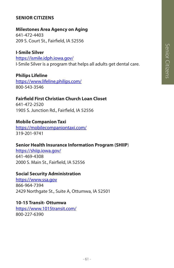#### **SENIOR CITIZENS**

# **Milestones Area Agency on Aging**

641-472-4403 209 S. Court St., Fairfield, IA 52556

**I-Smile Silver** https://ismile.idph.iowa.gov/ I-Smile Silver is a program that helps all adults get dental care.

**Philips Lifeline** https://www.lifeline.philips.com/ 800-543-3546

# **Fairfield First Christian Church Loan Closet**

641-472-2520 1905 S. Junction Rd., Fairfield, IA 52556

#### **Mobile Companion Taxi**

https://mobilecompaniontaxi.com/ 319-201-9741

# **Senior Health Insurance Information Program (SHIIP**)

https://shiip.iowa.gov/ 641-469-4308 2000 S. Main St., Fairfield, IA 52556

#### **Social Security Administration**

https://www.ssa.gov 866-964-7394 2429 Northgate St., Suite A, Ottumwa, IA 52501

#### **10-15 Transit- Ottumwa**

https://www.1015transit.com/ 800-227-6390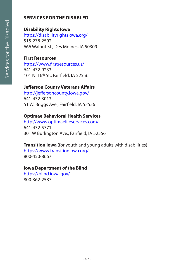# **SERVICES FOR THE DISABLED**

# **Disability Rights Iowa**

https://disabilityrightsiowa.org/ 515-278-2502 666 Walnut St., Des Moines, IA 50309

# **First Resources**

https://www.firstresources.us/ 641-472-9233 101 N. 16<sup>th</sup> St., Fairfield, IA 52556

# **Jefferson County Veterans Affairs**

http://jeffersoncounty.iowa.gov/ 641-472-3013 51 W. Briggs Ave., Fairfield, IA 52556

# **Optimae Behavioral Health Services**

http://www.optimaelifeservices.com/ 641-472-5771 301 W Burlington Ave., Fairfield, IA 52556

**Transition Iowa** (for youth and young adults with disabilities) https://www.transitioniowa.org/ 800-450-8667

#### **Iowa Department of the Blind**

https://blind.iowa.gov/ 800-362-2587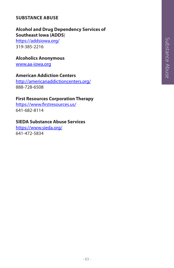# Substance Abuse Substance Abuse

# **SUBSTANCE ABUSE**

# **Alcohol and Drug Dependency Services of Southeast Iowa (ADDS**)

https://addsiowa.org/ 319-385-2216

#### **Alcoholics Anonymous**

www.aa-iowa.org

#### **American Addiction Centers**

http://americanaddictioncenters.org/ 888-728-6508

#### **First Resources Corporation Therapy**

https://www.firstresources.us/ 641-682-8114

#### **SIEDA Substance Abuse Services**

https://www.sieda.org/ 641-472-5834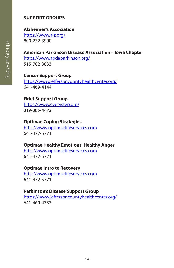# **SUPPORT GROUPS**

#### **Alzheimer's Association**

https://www.alz.org/ 800-272-3900

# **American Parkinson Disease Association – Iowa Chapter**

https://www.apdaparkinson.org/ 515-782-3833

# **Cancer Support Group**

https://www.jeffersoncountyhealthcenter.org/ 641-469-4144

# **Grief Support Group**

https://www.everystep.org/ 319-385-4472

#### **Optimae Coping Strategies**

http://www.optimaelifeservices.com 641-472-5771

#### **Optimae Healthy Emotions**, **Healthy Anger**

http://www.optimaelifeservices.com 641-472-5771

#### **Optimae Intro to Recovery**

http://www.optimaelifeservices.com 641-472-5771

#### **Parkinson's Disease Support Group**

https://www.jeffersoncountyhealthcenter.org/ 641-469-4353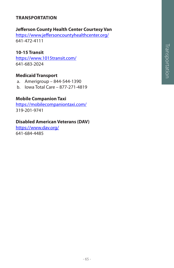# Transportation Transportation

# **TRANSPORTATION**

#### **Jefferson County Health Center Courtesy Van**

https://www.jeffersoncountyhealthcenter.org/ 641-472-4111

#### **10-15 Transit**

https://www.1015transit.com/ 641-683-2024

#### **Medicaid Transport**

- a. Amerigroup 844-544-1390
- b. Iowa Total Care 877-271-4819

#### **Mobile Companion Taxi**

https://mobilecompaniontaxi.com/ 319-201-9741

#### **Disabled American Veterans (DAV)**

https://www.dav.org/ 641-684-4485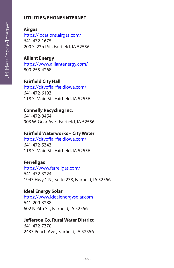# **UTILITIES/PHONE/INTERNET**

**Airgas** https://locations.airgas.com/ 641-472-1675 200 S. 23rd St., Fairfield, IA 52556

#### **Alliant Energy**

https://www.alliantenergy.com/ 800-255-4268

# **Fairfield City Hall**

https://cityoffairfieldiowa.com/ 641-472-6193 118 S. Main St., Fairfield, IA 52556

# **Connelly Recycling Inc.**

641-472-8454 903 W. Gear Ave., Fairfield, IA 52556

#### **Fairfield Waterworks – City Water**

https://cityoffairfieldiowa.com/ 641-472-5343 118 S. Main St., Fairfield, IA 52556

#### **Ferrellgas**

https://www.ferrellgas.com/ 641-472-3224 1943 Hwy 1 N., Suite 238, Fairfield, IA 52556

#### **Ideal Energy Solar**

https://www.idealenergysolar.com 641-209-3288 602 N. 6th St., Fairfield, IA 52556

#### **Jefferson Co. Rural Water District**

641-472-7370 2433 Peach Ave., Fairfield, IA 52556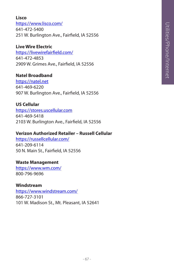# **Lisco**

https://www.lisco.com/ 641-472-5400 251 W. Burlington Ave., Fairfield, IA 52556

# **Live Wire Electric**

https://livewirefairfield.com/ 641-472-4853 2909 W. Grimes Ave., Fairfield, IA 52556

#### **Natel Broadband**

https://natel.net 641-469-6220 907 W. Burlington Ave., Fairfield, IA 52556

# **US Cellular**

https://stores.uscellular.com 641-469-5418 2103 W. Burlington Ave., Fairfield, IA 52556

# **Verizon Authorized Retailer – Russell Cellular**

https://russellcellular.com/ 641-209-6114 50 N. Main St., Fairfield, IA 52556

#### **Waste Management**

https://www.wm.com/ 800-796-9696

# **Windstream** https://www.windstream.com/ 866-727-3101

101 W. Madison St., Mt. Pleasant, IA 52641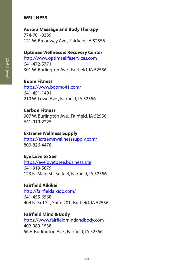#### **WELLNESS**

#### **Aurora Massage and Body Therapy**

774-701-0339 121 W. Broadway Ave., Fairfield, IA 52556

#### **Optimae Wellness & Recovery Center**

http://www.optimaelifeservices.com 641-472-5771 301 W. Burlington Ave., Fairfield, IA 52556

#### **Boom Fitness**

https://www.boom641.com/ 641-451-1491 210 W. Lowe Ave., Fairfield, IA 52556

#### **Carbon Fitness**

907 W. Burlington Ave., Fairfield, IA 52556 641-919-2225

#### **Extreme Wellness Supply**

https://extremewellnesssupply.com/ 800-826-4478

#### **Eye Love to See**

https://eyelovetosee.business.site 641-919-5879 123 N. Main St., Suite 4, Fairfield, IA 52556

#### **Fairfield Aikikai**

http://fairfieldaikido.com/ 641-455-6568 404 N. 3rd St., Suite 201, Fairfield, IA 52556

#### **Fairfield Mind & Body**

https://www.fairfieldmindandbody.com 402-980-1538 56 E. Burlington Ave., Fairfield, IA 52556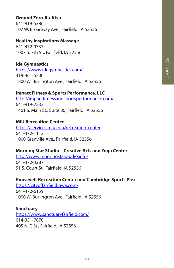# **Ground Zero Jiu Jitsu**

641-919-5386 107 W. Broadway Ave., Fairfield, IA 52556

#### **Healthy Inspirations Massage**

641-472-9337 1007 S. 7th St., Fairfield, IA 52556

# **Ide Gymnastics**

https://www.idegymnastics.com/ 319-461-5200 1800 W. Burlington Ave., Fairfield, IA 52556

#### **Impact Fitness & Sports Performance, LLC**

http://impactfitnessandsportsperformance.com/ 641-919-2533 1401 S. Main St., Suite 80, Fairfield, IA 52556

#### **MIU Recreation Center**

https://services.miu.edu/recreation-center 641-472-1112 1000 Granville Ave., Fairfield, IA 52556

#### **Morning Star Studio – Creative Arts and Yoga Center**

http://www.morningstarstudio.info/ 641-472-4287 51 S. Court St., Fairfield, IA 52556

#### **Roosevelt Recreation Center and Cambridge Sports Plex**

https://cityoffairfieldiowa.com/ 641-472-6159 1000 W. Burlington Ave., Fairfield, IA 52556

#### **Sanctuary**

https://www.sanctuaryfairfield.com/ 614-351-7870 405 N. C St., Fairfield, IA 52556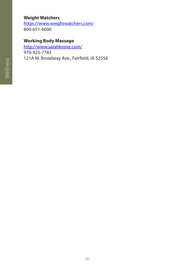# **Weight Watchers**

https://www.weightwatchers.com/ 800-651-6000

# **Working Body Massage**

http://www.sarahkrone.com/ 970-925-7783 121A W. Broadway Ave., Fairfield, IA 52556